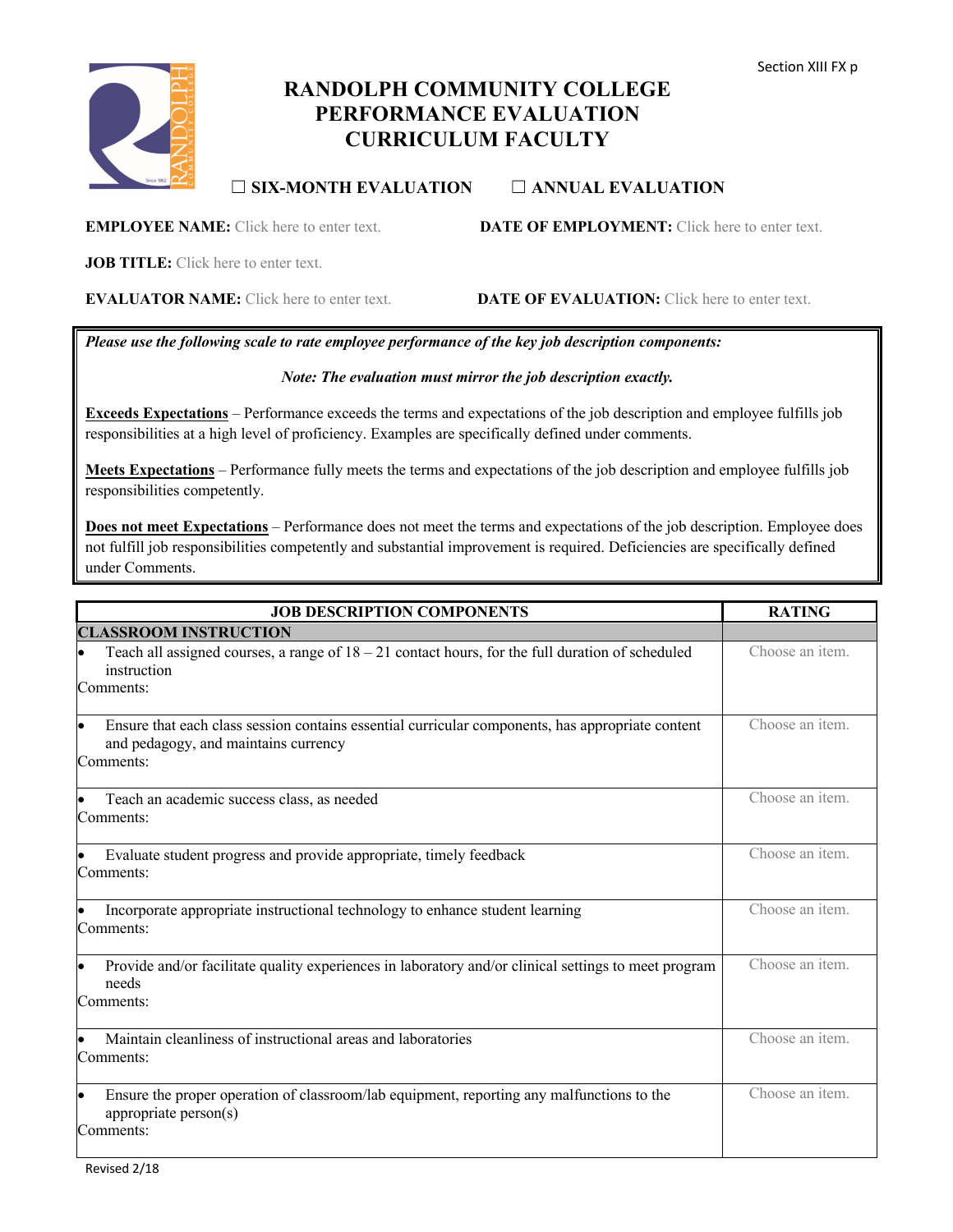

# **RANDOLPH COMMUNITY COLLEGE PERFORMANCE EVALUATION CURRICULUM FACULTY**

# ☐ **SIX-MONTH EVALUATION** ☐ **ANNUAL EVALUATION**

**EMPLOYEE NAME:** Click here to enter text. **DATE OF EMPLOYMENT:** Click here to enter text.

**JOB TITLE:** Click here to enter text.

**EVALUATOR NAME:** Click here to enter text. **DATE OF EVALUATION:** Click here to enter text.

*Please use the following scale to rate employee performance of the key job description components:*

#### *Note: The evaluation must mirror the job description exactly.*

**Exceeds Expectations** – Performance exceeds the terms and expectations of the job description and employee fulfills job responsibilities at a high level of proficiency. Examples are specifically defined under comments.

**Meets Expectations** – Performance fully meets the terms and expectations of the job description and employee fulfills job responsibilities competently.

**Does not meet Expectations** – Performance does not meet the terms and expectations of the job description. Employee does not fulfill job responsibilities competently and substantial improvement is required. Deficiencies are specifically defined under Comments.

| <b>JOB DESCRIPTION COMPONENTS</b>                                                                                                                           | <b>RATING</b>   |
|-------------------------------------------------------------------------------------------------------------------------------------------------------------|-----------------|
| <b>CLASSROOM INSTRUCTION</b>                                                                                                                                |                 |
| Teach all assigned courses, a range of $18 - 21$ contact hours, for the full duration of scheduled<br>instruction<br>Comments:                              | Choose an item. |
| Ensure that each class session contains essential curricular components, has appropriate content<br>lo<br>and pedagogy, and maintains currency<br>Comments: | Choose an item. |
| Teach an academic success class, as needed<br>Comments:                                                                                                     | Choose an item. |
| Evaluate student progress and provide appropriate, timely feedback<br>Comments:                                                                             | Choose an item. |
| Incorporate appropriate instructional technology to enhance student learning<br>Comments:                                                                   | Choose an item. |
| Provide and/or facilitate quality experiences in laboratory and/or clinical settings to meet program<br>$\bullet$<br>needs<br>Comments:                     | Choose an item. |
| Maintain cleanliness of instructional areas and laboratories<br>Comments:                                                                                   | Choose an item. |
| Ensure the proper operation of classroom/lab equipment, reporting any malfunctions to the<br>le<br>appropriate $person(s)$<br>Comments:                     | Choose an item. |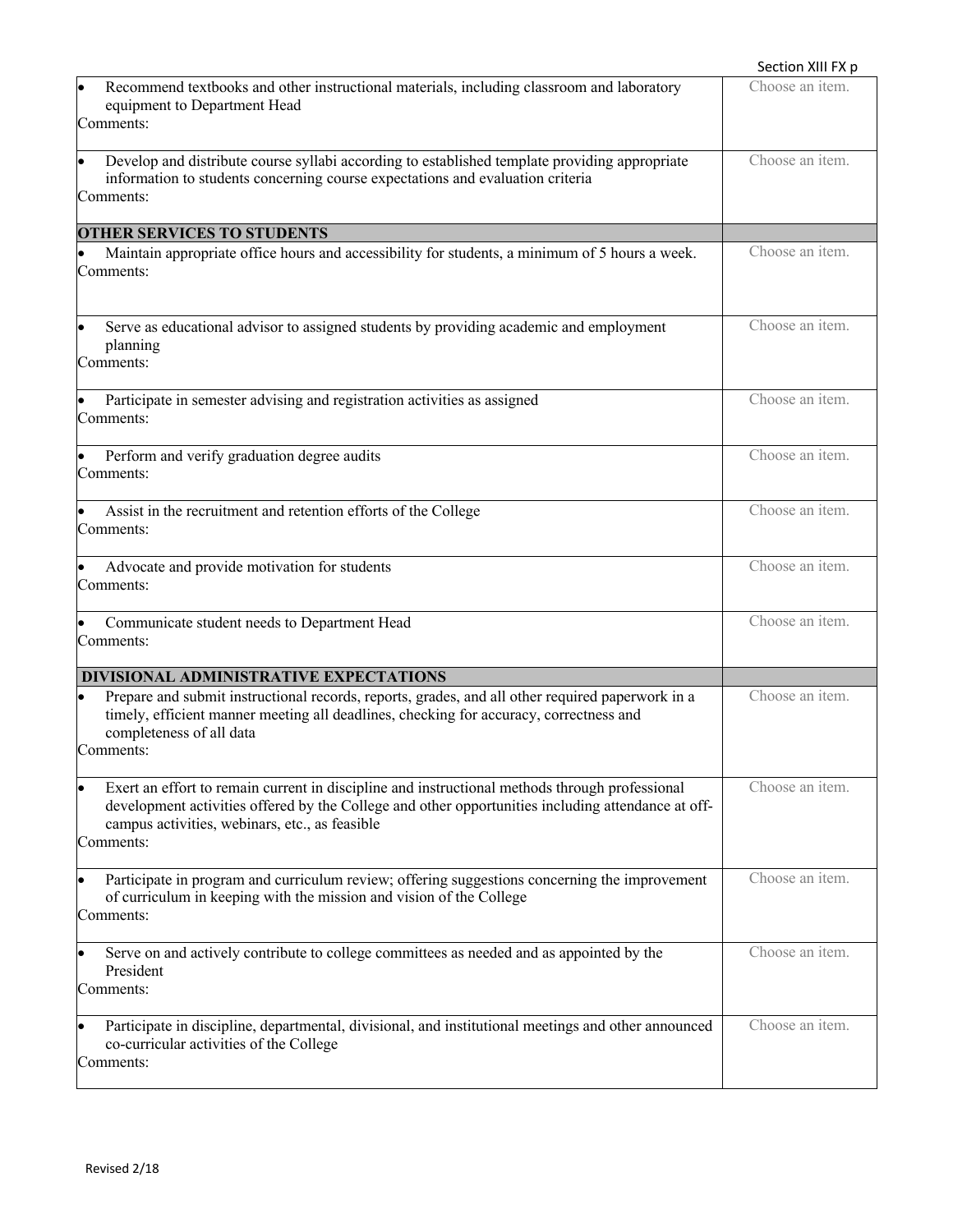|                                                                                                                                                                                                                                                                     | Section XIII FX p |
|---------------------------------------------------------------------------------------------------------------------------------------------------------------------------------------------------------------------------------------------------------------------|-------------------|
| Recommend textbooks and other instructional materials, including classroom and laboratory<br>equipment to Department Head<br>Comments:                                                                                                                              | Choose an item.   |
| Develop and distribute course syllabi according to established template providing appropriate<br>information to students concerning course expectations and evaluation criteria<br>Comments:                                                                        | Choose an item.   |
| <b>OTHER SERVICES TO STUDENTS</b>                                                                                                                                                                                                                                   |                   |
| Maintain appropriate office hours and accessibility for students, a minimum of 5 hours a week.<br>Comments:                                                                                                                                                         | Choose an item.   |
| Serve as educational advisor to assigned students by providing academic and employment<br>planning<br>Comments:                                                                                                                                                     | Choose an item.   |
| Participate in semester advising and registration activities as assigned<br>Comments:                                                                                                                                                                               | Choose an item.   |
| Perform and verify graduation degree audits<br>Comments:                                                                                                                                                                                                            | Choose an item.   |
| Assist in the recruitment and retention efforts of the College<br>Comments:                                                                                                                                                                                         | Choose an item.   |
| Advocate and provide motivation for students<br>Comments:                                                                                                                                                                                                           | Choose an item.   |
| Communicate student needs to Department Head<br>Comments:                                                                                                                                                                                                           | Choose an item.   |
| DIVISIONAL ADMINISTRATIVE EXPECTATIONS                                                                                                                                                                                                                              |                   |
| Prepare and submit instructional records, reports, grades, and all other required paperwork in a<br>$\bullet$<br>timely, efficient manner meeting all deadlines, checking for accuracy, correctness and<br>completeness of all data<br>Comments:                    | Choose an item.   |
| Exert an effort to remain current in discipline and instructional methods through professional<br>development activities offered by the College and other opportunities including attendance at off-<br>campus activities, webinars, etc., as feasible<br>Comments: | Choose an item.   |
| Participate in program and curriculum review; offering suggestions concerning the improvement<br>of curriculum in keeping with the mission and vision of the College<br>Comments:                                                                                   | Choose an item.   |
| Serve on and actively contribute to college committees as needed and as appointed by the<br>President<br>Comments:                                                                                                                                                  | Choose an item.   |
| Participate in discipline, departmental, divisional, and institutional meetings and other announced<br>co-curricular activities of the College<br>Comments:                                                                                                         | Choose an item.   |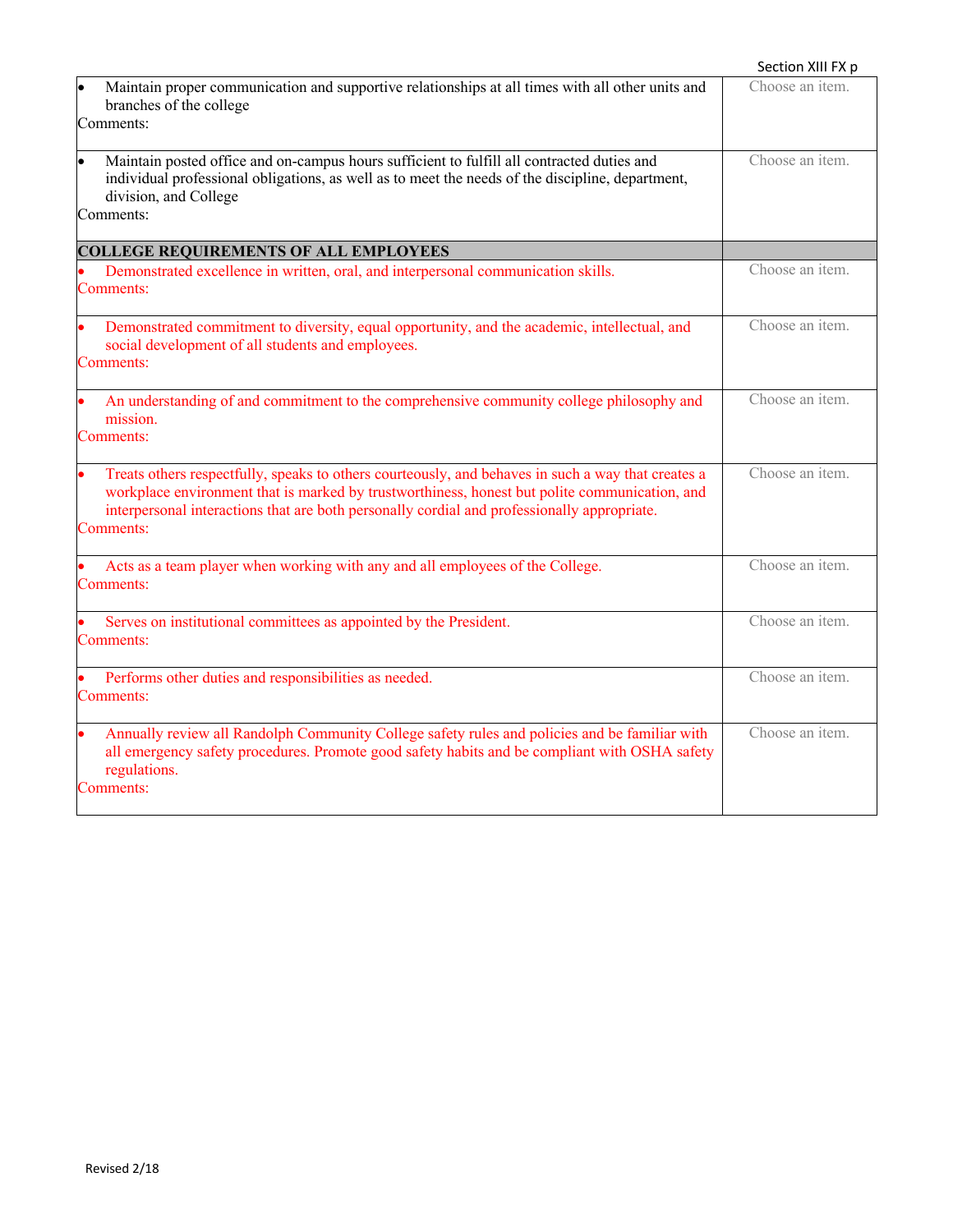|                                                                                                                                                                                                                                                                                                                 | Section XIII FX p |
|-----------------------------------------------------------------------------------------------------------------------------------------------------------------------------------------------------------------------------------------------------------------------------------------------------------------|-------------------|
| Maintain proper communication and supportive relationships at all times with all other units and<br>branches of the college<br>Comments:                                                                                                                                                                        | Choose an item.   |
| Maintain posted office and on-campus hours sufficient to fulfill all contracted duties and<br>individual professional obligations, as well as to meet the needs of the discipline, department,<br>division, and College<br>Comments:                                                                            | Choose an item.   |
| <b>COLLEGE REQUIREMENTS OF ALL EMPLOYEES</b>                                                                                                                                                                                                                                                                    |                   |
| Demonstrated excellence in written, oral, and interpersonal communication skills.<br>Comments:                                                                                                                                                                                                                  | Choose an item.   |
| Demonstrated commitment to diversity, equal opportunity, and the academic, intellectual, and<br>social development of all students and employees.<br>Comments:                                                                                                                                                  | Choose an item.   |
| An understanding of and commitment to the comprehensive community college philosophy and<br>mission.<br>Comments:                                                                                                                                                                                               | Choose an item.   |
| Treats others respectfully, speaks to others courteously, and behaves in such a way that creates a<br>workplace environment that is marked by trustworthiness, honest but polite communication, and<br>interpersonal interactions that are both personally cordial and professionally appropriate.<br>Comments: | Choose an item.   |
| Acts as a team player when working with any and all employees of the College.<br>Comments:                                                                                                                                                                                                                      | Choose an item.   |
| Serves on institutional committees as appointed by the President.<br>Comments:                                                                                                                                                                                                                                  | Choose an item.   |
| Performs other duties and responsibilities as needed.<br>Comments:                                                                                                                                                                                                                                              | Choose an item.   |
| Annually review all Randolph Community College safety rules and policies and be familiar with<br>all emergency safety procedures. Promote good safety habits and be compliant with OSHA safety<br>regulations.<br>Comments:                                                                                     | Choose an item.   |